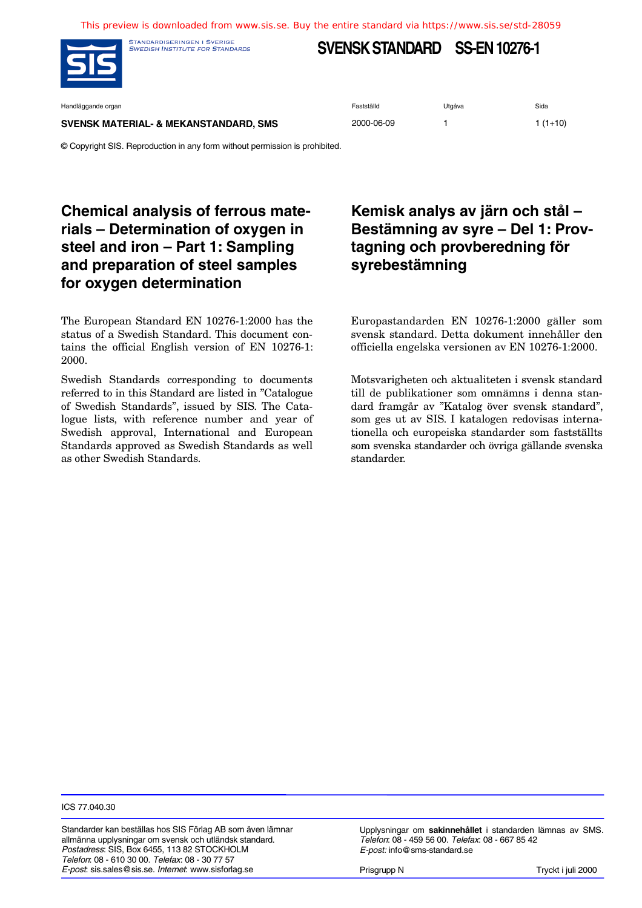**STANDARDISERINGEN I SVERIGE**<br>SWEDISH INSTITUTE FOR STANDARDS

# **SVENSK STANDARD SS-EN 10276-1**

Handläggande organ Fastställd Utgåva Sida

**SVENSK MATERIAL- & MEKANSTANDARD, SMS** 2000-06-09 1 1 (1+10)

© Copyright SIS. Reproduction in any form without permission is prohibited.

# **Chemical analysis of ferrous materials – Determination of oxygen in steel and iron – Part 1: Sampling and preparation of steel samples for oxygen determination**

The European Standard EN 10276-1:2000 has the status of a Swedish Standard. This document contains the official English version of EN 10276-1: 2000.

Swedish Standards corresponding to documents referred to in this Standard are listed in "Catalogue of Swedish Standards", issued by SIS. The Catalogue lists, with reference number and year of Swedish approval, International and European Standards approved as Swedish Standards as well as other Swedish Standards.

## **Kemisk analys av järn och stål – Bestämning av syre – Del 1: Provtagning och provberedning för syrebestämning**

Europastandarden EN 10276-1:2000 gäller som svensk standard. Detta dokument innehåller den officiella engelska versionen av EN 10276-1:2000.

Motsvarigheten och aktualiteten i svensk standard till de publikationer som omnämns i denna standard framgår av "Katalog över svensk standard", som ges ut av SIS. I katalogen redovisas internationella och europeiska standarder som fastställts som svenska standarder och övriga gällande svenska standarder.

ICS 77.040.30

Standarder kan beställas hos SIS Förlag AB som även lämnar allmänna upplysningar om svensk och utländsk standard. *Postadress*: SIS, Box 6455, 113 82 STOCKHOLM *Telefon*: 08 - 610 30 00. *Telefax*: 08 - 30 77 57 *E-post*: sis.sales@sis.se. *Internet*: www.sisforlag.se

Upplysningar om **sakinnehållet** i standarden lämnas av SMS. *Telefon*: 08 - 459 56 00. *Telefax*: 08 - 667 85 42 *E-post:* info@sms-standard.se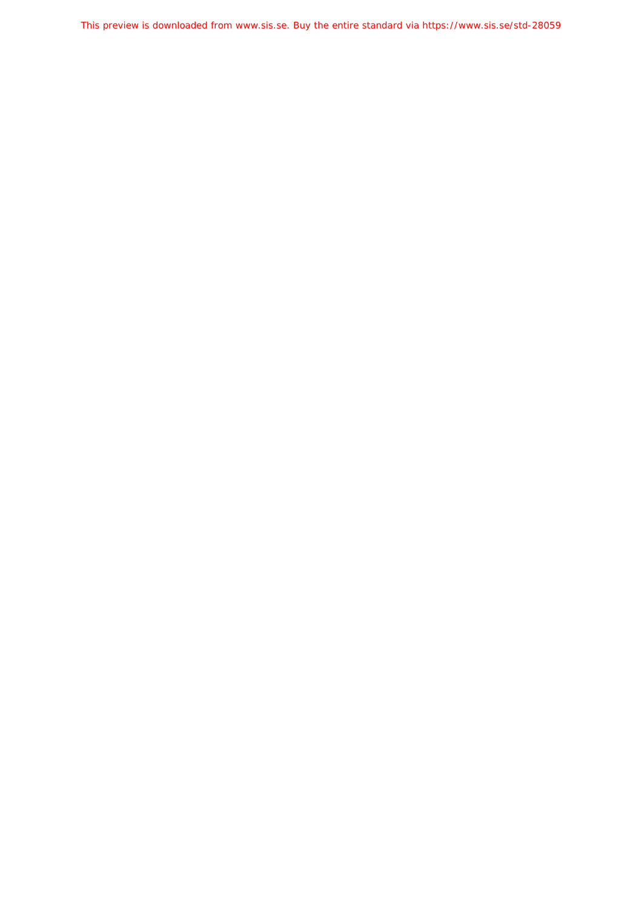This preview is downloaded from www.sis.se. Buy the entire standard via https://www.sis.se/std-28059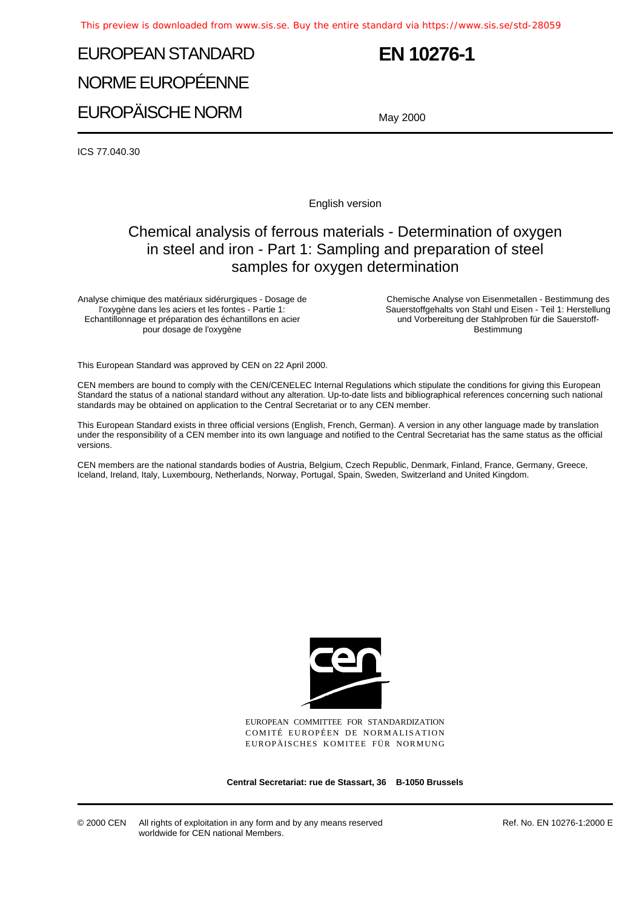# EUROPEAN STANDARD NORME EUROPÉENNE EUROPÄISCHE NORM

# **EN 10276-1**

May 2000

ICS 77.040.30

English version

## Chemical analysis of ferrous materials - Determination of oxygen in steel and iron - Part 1: Sampling and preparation of steel samples for oxygen determination

Analyse chimique des matériaux sidérurgiques - Dosage de l'oxygène dans les aciers et les fontes - Partie 1: Echantillonnage et préparation des échantillons en acier pour dosage de l'oxygène

Chemische Analyse von Eisenmetallen - Bestimmung des Sauerstoffgehalts von Stahl und Eisen - Teil 1: Herstellung und Vorbereitung der Stahlproben für die Sauerstoff-**Bestimmung** 

This European Standard was approved by CEN on 22 April 2000.

CEN members are bound to comply with the CEN/CENELEC Internal Regulations which stipulate the conditions for giving this European Standard the status of a national standard without any alteration. Up-to-date lists and bibliographical references concerning such national standards may be obtained on application to the Central Secretariat or to any CEN member.

This European Standard exists in three official versions (English, French, German). A version in any other language made by translation under the responsibility of a CEN member into its own language and notified to the Central Secretariat has the same status as the official versions.

CEN members are the national standards bodies of Austria, Belgium, Czech Republic, Denmark, Finland, France, Germany, Greece, Iceland, Ireland, Italy, Luxembourg, Netherlands, Norway, Portugal, Spain, Sweden, Switzerland and United Kingdom.



EUROPEAN COMMITTEE FOR STANDARDIZATION COMITÉ EUROPÉEN DE NORMALISATION EUROPÄISCHES KOMITEE FÜR NORMUNG

**Central Secretariat: rue de Stassart, 36 B-1050 Brussels**

© 2000 CEN All rights of exploitation in any form and by any means reserved worldwide for CEN national Members.

Ref. No. EN 10276-1:2000 E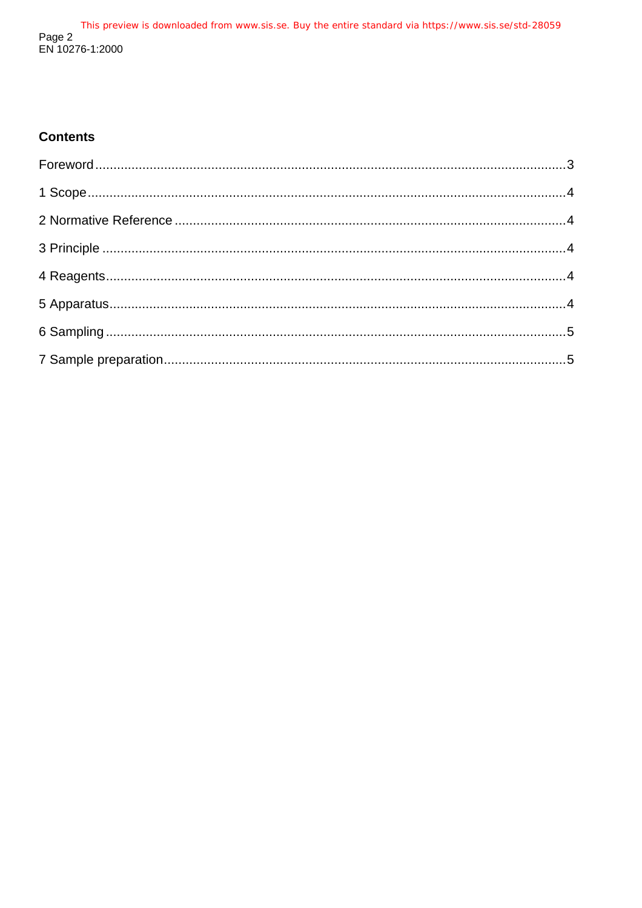This preview is downloaded from www.sis.se. Buy the entire standard via https://www.sis.se/std-28059 Page 2<br>EN 10276-1:2000

## **Contents**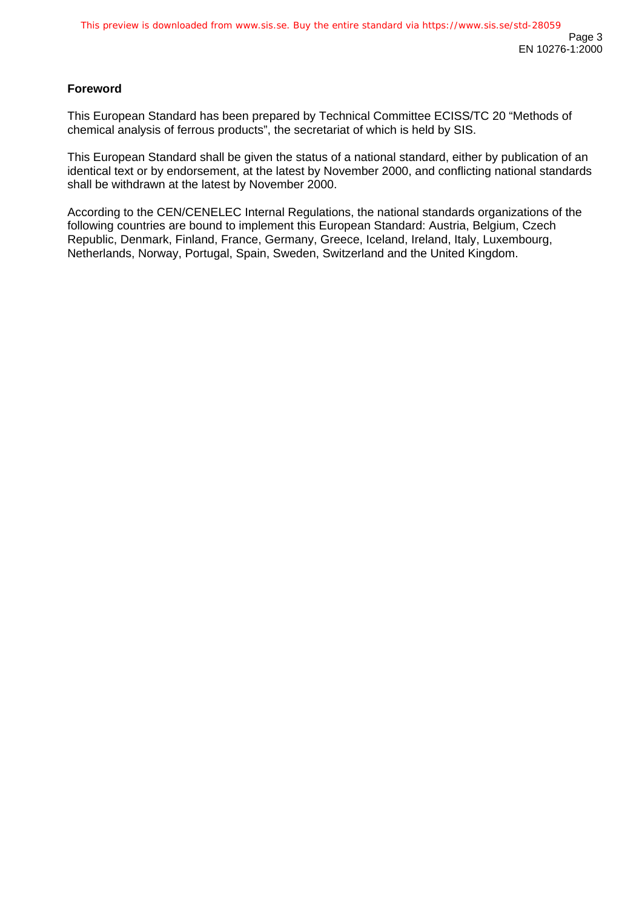## **Foreword**

This European Standard has been prepared by Technical Committee ECISS/TC 20 "Methods of chemical analysis of ferrous products", the secretariat of which is held by SIS.

This European Standard shall be given the status of a national standard, either by publication of an identical text or by endorsement, at the latest by November 2000, and conflicting national standards shall be withdrawn at the latest by November 2000.

According to the CEN/CENELEC Internal Regulations, the national standards organizations of the following countries are bound to implement this European Standard: Austria, Belgium, Czech Republic, Denmark, Finland, France, Germany, Greece, Iceland, Ireland, Italy, Luxembourg, Netherlands, Norway, Portugal, Spain, Sweden, Switzerland and the United Kingdom.